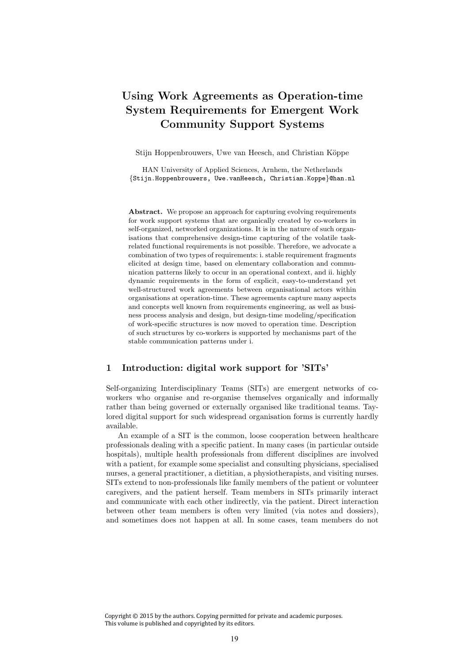# Using Work Agreements as Operation-time System Requirements for Emergent Work Community Support Systems

Stijn Hoppenbrouwers, Uwe van Heesch, and Christian Köppe

HAN University of Applied Sciences, Arnhem, the Netherlands *{*Stijn.Hoppenbrouwers, Uwe.vanHeesch, Christian.Koppe*}*@han.nl

Abstract. We propose an approach for capturing evolving requirements for work support systems that are organically created by co-workers in self-organized, networked organizations. It is in the nature of such organisations that comprehensive design-time capturing of the volatile taskrelated functional requirements is not possible. Therefore, we advocate a combination of two types of requirements: i. stable requirement fragments elicited at design time, based on elementary collaboration and communication patterns likely to occur in an operational context, and ii. highly dynamic requirements in the form of explicit, easy-to-understand yet well-structured work agreements between organisational actors within organisations at operation-time. These agreements capture many aspects and concepts well known from requirements engineering, as well as business process analysis and design, but design-time modeling/specification of work-specific structures is now moved to operation time. Description of such structures by co-workers is supported by mechanisms part of the stable communication patterns under i.

### 1 Introduction: digital work support for 'SITs'

Self-organizing Interdisciplinary Teams (SITs) are emergent networks of coworkers who organise and re-organise themselves organically and informally rather than being governed or externally organised like traditional teams. Taylored digital support for such widespread organisation forms is currently hardly available.

An example of a SIT is the common, loose cooperation between healthcare professionals dealing with a specific patient. In many cases (in particular outside hospitals), multiple health professionals from different disciplines are involved with a patient, for example some specialist and consulting physicians, specialised nurses, a general practitioner, a dietitian, a physiotherapists, and visiting nurses. SITs extend to non-professionals like family members of the patient or volunteer caregivers, and the patient herself. Team members in SITs primarily interact and communicate with each other indirectly, via the patient. Direct interaction between other team members is often very limited (via notes and dossiers), and sometimes does not happen at all. In some cases, team members do not

Copyright © 2015 by the authors. Copying permitted for private and academic purposes. This volume is published and copyrighted by its editors.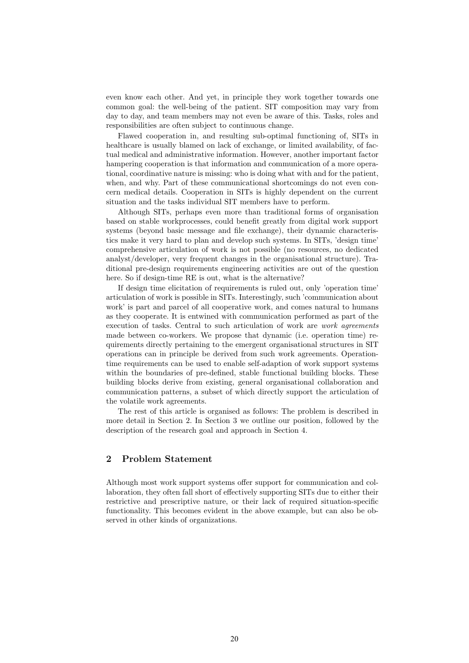even know each other. And yet, in principle they work together towards one common goal: the well-being of the patient. SIT composition may vary from day to day, and team members may not even be aware of this. Tasks, roles and responsibilities are often subject to continuous change.

Flawed cooperation in, and resulting sub-optimal functioning of, SITs in healthcare is usually blamed on lack of exchange, or limited availability, of factual medical and administrative information. However, another important factor hampering cooperation is that information and communication of a more operational, coordinative nature is missing: who is doing what with and for the patient, when, and why. Part of these communicational shortcomings do not even concern medical details. Cooperation in SITs is highly dependent on the current situation and the tasks individual SIT members have to perform.

Although SITs, perhaps even more than traditional forms of organisation based on stable workprocesses, could benefit greatly from digital work support systems (beyond basic message and file exchange), their dynamic characteristics make it very hard to plan and develop such systems. In SITs, 'design time' comprehensive articulation of work is not possible (no resources, no dedicated analyst/developer, very frequent changes in the organisational structure). Traditional pre-design requirements engineering activities are out of the question here. So if design-time RE is out, what is the alternative?

If design time elicitation of requirements is ruled out, only 'operation time' articulation of work is possible in SITs. Interestingly, such 'communication about work' is part and parcel of all cooperative work, and comes natural to humans as they cooperate. It is entwined with communication performed as part of the execution of tasks. Central to such articulation of work are *work agreements* made between co-workers. We propose that dynamic (i.e. operation time) requirements directly pertaining to the emergent organisational structures in SIT operations can in principle be derived from such work agreements. Operationtime requirements can be used to enable self-adaption of work support systems within the boundaries of pre-defined, stable functional building blocks. These building blocks derive from existing, general organisational collaboration and communication patterns, a subset of which directly support the articulation of the volatile work agreements.

The rest of this article is organised as follows: The problem is described in more detail in Section 2. In Section 3 we outline our position, followed by the description of the research goal and approach in Section 4.

### 2 Problem Statement

Although most work support systems offer support for communication and collaboration, they often fall short of effectively supporting SITs due to either their restrictive and prescriptive nature, or their lack of required situation-specific functionality. This becomes evident in the above example, but can also be observed in other kinds of organizations.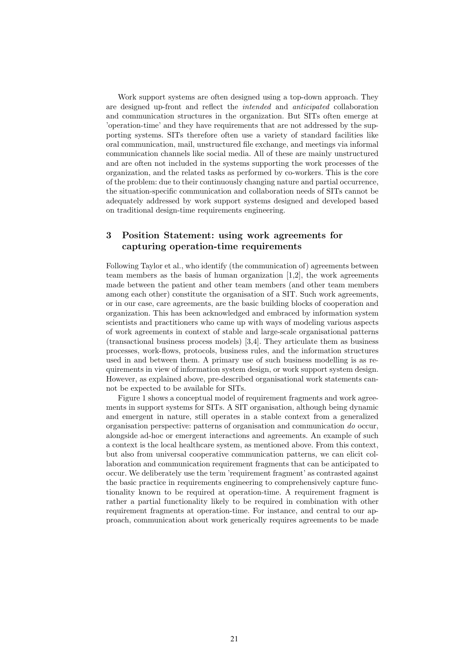Work support systems are often designed using a top-down approach. They are designed up-front and reflect the *intended* and *anticipated* collaboration and communication structures in the organization. But SITs often emerge at 'operation-time' and they have requirements that are not addressed by the supporting systems. SITs therefore often use a variety of standard facilities like oral communication, mail, unstructured file exchange, and meetings via informal communication channels like social media. All of these are mainly unstructured and are often not included in the systems supporting the work processes of the organization, and the related tasks as performed by co-workers. This is the core of the problem: due to their continuously changing nature and partial occurrence, the situation-specific communication and collaboration needs of SITs cannot be adequately addressed by work support systems designed and developed based on traditional design-time requirements engineering.

# 3 Position Statement: using work agreements for capturing operation-time requirements

Following Taylor et al., who identify (the communication of) agreements between team members as the basis of human organization  $[1,2]$  $[1,2]$ , the work agreements made between the patient and other team members (and other team members among each other) constitute the organisation of a SIT. Such work agreements, or in our case, care agreements, are the basic building blocks of cooperation and organization. This has been acknowledged and embraced by information system scientists and practitioners who came up with ways of modeling various aspects of work agreements in context of stable and large-scale organisational patterns (transactional business process models) [\[3,](#page-5-1)[4\]](#page-5-2). They articulate them as business processes, work-flows, protocols, business rules, and the information structures used in and between them. A primary use of such business modelling is as requirements in view of information system design, or work support system design. However, as explained above, pre-described organisational work statements cannot be expected to be available for SITs.

Figure [1](#page-3-0) shows a conceptual model of requirement fragments and work agreements in support systems for SITs. A SIT organisation, although being dynamic and emergent in nature, still operates in a stable context from a generalized organisation perspective: patterns of organisation and communication *do* occur, alongside ad-hoc or emergent interactions and agreements. An example of such a context is the local healthcare system, as mentioned above. From this context, but also from universal cooperative communication patterns, we can elicit collaboration and communication requirement fragments that can be anticipated to occur. We deliberately use the term 'requirement fragment' as contrasted against the basic practice in requirements engineering to comprehensively capture functionality known to be required at operation-time. A requirement fragment is rather a partial functionality likely to be required in combination with other requirement fragments at operation-time. For instance, and central to our approach, communication about work generically requires agreements to be made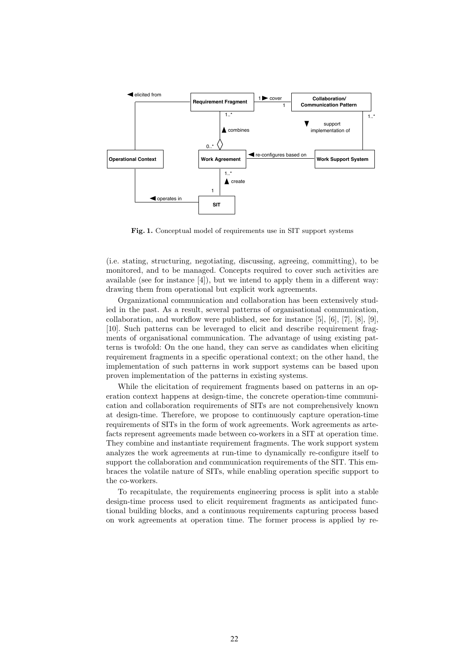

<span id="page-3-0"></span>Fig. 1. Conceptual model of requirements use in SIT support systems

(i.e. stating, structuring, negotiating, discussing, agreeing, committing), to be monitored, and to be managed. Concepts required to cover such activities are available (see for instance  $[4]$ ), but we intend to apply them in a different way: drawing them from operational but explicit work agreements.

Organizational communication and collaboration has been extensively studied in the past. As a result, several patterns of organisational communication, collaboration, and workflow were published, see for instance [\[5\]](#page-5-3), [\[6\]](#page-5-4), [\[7\]](#page-5-5), [\[8\]](#page-5-6), [\[9\]](#page-5-7), [\[10\]](#page-5-8). Such patterns can be leveraged to elicit and describe requirement fragments of organisational communication. The advantage of using existing patterns is twofold: On the one hand, they can serve as candidates when eliciting requirement fragments in a specific operational context; on the other hand, the implementation of such patterns in work support systems can be based upon proven implementation of the patterns in existing systems.

While the elicitation of requirement fragments based on patterns in an operation context happens at design-time, the concrete operation-time communication and collaboration requirements of SITs are not comprehensively known at design-time. Therefore, we propose to continuously capture operation-time requirements of SITs in the form of work agreements. Work agreements as artefacts represent agreements made between co-workers in a SIT at operation time. They combine and instantiate requirement fragments. The work support system analyzes the work agreements at run-time to dynamically re-configure itself to support the collaboration and communication requirements of the SIT. This embraces the volatile nature of SITs, while enabling operation specific support to the co-workers.

To recapitulate, the requirements engineering process is split into a stable design-time process used to elicit requirement fragments as anticipated functional building blocks, and a continuous requirements capturing process based on work agreements at operation time. The former process is applied by re-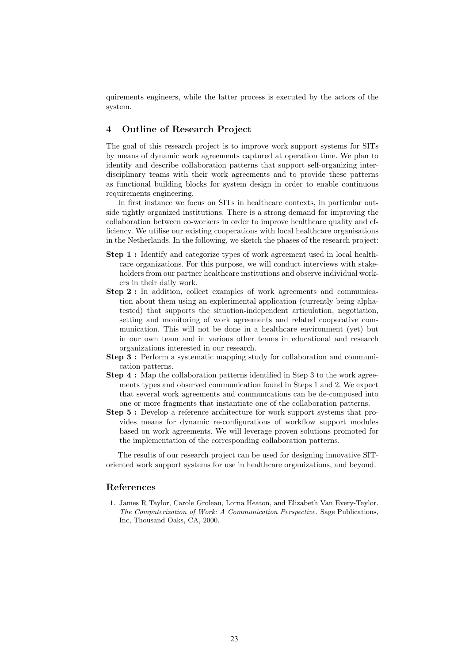quirements engineers, while the latter process is executed by the actors of the system.

# 4 Outline of Research Project

The goal of this research project is to improve work support systems for SITs by means of dynamic work agreements captured at operation time. We plan to identify and describe collaboration patterns that support self-organizing interdisciplinary teams with their work agreements and to provide these patterns as functional building blocks for system design in order to enable continuous requirements engineering.

In first instance we focus on SITs in healthcare contexts, in particular outside tightly organized institutions. There is a strong demand for improving the collaboration between co-workers in order to improve healthcare quality and efficiency. We utilise our existing cooperations with local healthcare organisations in the Netherlands. In the following, we sketch the phases of the research project:

- Step 1 : Identify and categorize types of work agreement used in local healthcare organizations. For this purpose, we will conduct interviews with stakeholders from our partner healthcare institutions and observe individual workers in their daily work.
- Step 2 : In addition, collect examples of work agreements and communication about them using an explerimental application (currently being alphatested) that supports the situation-independent articulation, negotiation, setting and monitoring of work agreements and related cooperative communication. This will not be done in a healthcare environment (yet) but in our own team and in various other teams in educational and research organizations interested in our research.
- Step 3 : Perform a systematic mapping study for collaboration and communication patterns.
- Step 4 : Map the collaboration patterns identified in Step 3 to the work agreements types and observed communication found in Steps 1 and 2. We expect that several work agreements and communcations can be de-composed into one or more fragments that instantiate one of the collaboration patterns.
- Step 5 : Develop a reference architecture for work support systems that provides means for dynamic re-configurations of workflow support modules based on work agreements. We will leverage proven solutions promoted for the implementation of the corresponding collaboration patterns.

The results of our research project can be used for designing innovative SIToriented work support systems for use in healthcare organizations, and beyond.

### References

<span id="page-4-0"></span>1. James R Taylor, Carole Groleau, Lorna Heaton, and Elizabeth Van Every-Taylor. *The Computerization of Work: A Communication Perspective*. Sage Publications, Inc, Thousand Oaks, CA, 2000.